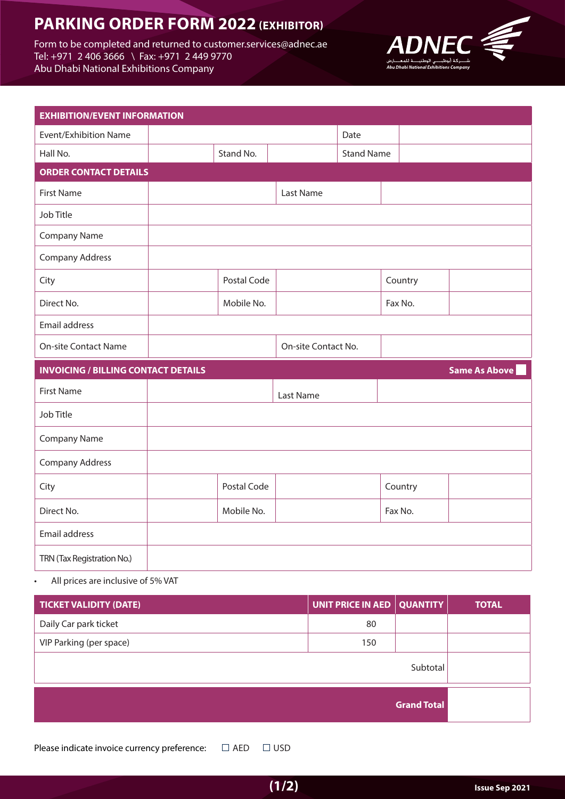# **PARKING ORDER FORM 2022 (EXHIBITOR)**

Form to be completed and returned to customer.services@adnec.ae Tel: +971 2 406 3666 \ Fax: +971 2 449 9770 Abu Dhabi National Exhibitions Company



| <b>EXHIBITION/EVENT INFORMATION</b>        |             |                     |                   |         |                      |
|--------------------------------------------|-------------|---------------------|-------------------|---------|----------------------|
| <b>Event/Exhibition Name</b>               |             |                     | Date              |         |                      |
| Hall No.                                   | Stand No.   |                     | <b>Stand Name</b> |         |                      |
| <b>ORDER CONTACT DETAILS</b>               |             |                     |                   |         |                      |
| <b>First Name</b>                          |             | Last Name           |                   |         |                      |
| Job Title                                  |             |                     |                   |         |                      |
| <b>Company Name</b>                        |             |                     |                   |         |                      |
| <b>Company Address</b>                     |             |                     |                   |         |                      |
| City                                       | Postal Code |                     |                   | Country |                      |
| Direct No.                                 | Mobile No.  |                     |                   | Fax No. |                      |
| Email address                              |             |                     |                   |         |                      |
| <b>On-site Contact Name</b>                |             |                     |                   |         |                      |
|                                            |             | On-site Contact No. |                   |         |                      |
| <b>INVOICING / BILLING CONTACT DETAILS</b> |             |                     |                   |         | <b>Same As Above</b> |
| <b>First Name</b>                          |             | Last Name           |                   |         |                      |
| Job Title                                  |             |                     |                   |         |                      |
| Company Name                               |             |                     |                   |         |                      |
| Company Address                            |             |                     |                   |         |                      |
| City                                       | Postal Code |                     |                   | Country |                      |
| Direct No.                                 | Mobile No.  |                     |                   | Fax No. |                      |
| Email address                              |             |                     |                   |         |                      |

• All prices are inclusive of 5% VAT

| <b>TICKET VALIDITY (DATE)</b> | UNIT PRICE IN AED   QUANTITY |                    | <b>TOTAL</b> |
|-------------------------------|------------------------------|--------------------|--------------|
| Daily Car park ticket         | 80                           |                    |              |
| VIP Parking (per space)       | 150                          |                    |              |
|                               |                              | Subtotal           |              |
|                               |                              | <b>Grand Total</b> |              |

Please indicate invoice currency preference:  $\Box$  AED  $\Box$  USD